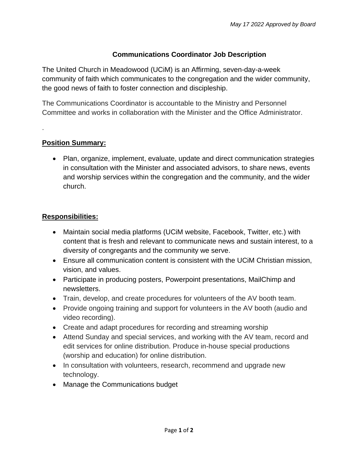## **Communications Coordinator Job Description**

The United Church in Meadowood (UCiM) is an Affirming, seven-day-a-week community of faith which communicates to the congregation and the wider community, the good news of faith to foster connection and discipleship.

The Communications Coordinator is accountable to the Ministry and Personnel Committee and works in collaboration with the Minister and the Office Administrator.

#### **Position Summary:**

.

• Plan, organize, implement, evaluate, update and direct communication strategies in consultation with the Minister and associated advisors, to share news, events and worship services within the congregation and the community, and the wider church.

# **Responsibilities:**

- Maintain social media platforms (UCiM website, Facebook, Twitter, etc.) with content that is fresh and relevant to communicate news and sustain interest, to a diversity of congregants and the community we serve.
- Ensure all communication content is consistent with the UCiM Christian mission, vision, and values.
- Participate in producing posters, Powerpoint presentations, MailChimp and newsletters.
- Train, develop, and create procedures for volunteers of the AV booth team.
- Provide ongoing training and support for volunteers in the AV booth (audio and video recording).
- Create and adapt procedures for recording and streaming worship
- Attend Sunday and special services, and working with the AV team, record and edit services for online distribution. Produce in-house special productions (worship and education) for online distribution.
- In consultation with volunteers, research, recommend and upgrade new technology.
- Manage the Communications budget